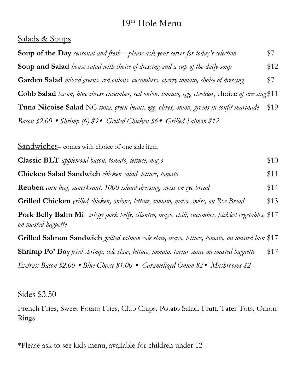# 19th Hole Menu

## Salads & Soups

| <b>Soup of the Day</b> seasonal and fresh – please ask your server for today's selection                | \$7  |
|---------------------------------------------------------------------------------------------------------|------|
| <b>Soup and Salad</b> house salad with choice of dressing and a cup of the daily soup                   | \$12 |
| Garden Salad mixed greens, red onions, cucumbers, cherry tomato, choice of dressing                     | \$7  |
| <b>Cobb Salad</b> bacon, blue cheese cucumber, red onion, tomato, egg, cheddar, choice of dressing \$11 |      |
| <b>Tuna Niçoise Salad</b> NC tuna, green beans, egg, olives, onion, greens in confit marinade           | \$19 |
| Bacon \$2.00 • Shrimp (6) $$9 \bullet$ Grilled Chicken \$6 • Grilled Salmon \$12                        |      |

| Sandwiches-comes with choice of one side item                                                                                 |      |
|-------------------------------------------------------------------------------------------------------------------------------|------|
| <b>Classic BLT</b> applewood bacon, tomato, lettuce, mayo                                                                     | \$10 |
| <b>Chicken Salad Sandwich</b> chicken salad, lettuce, tomato                                                                  | \$11 |
| <b>Reuben</b> corn beef, sauerkraut, 1000 island dressing, swiss on rye bread                                                 | \$14 |
| <b>Grilled Chicken</b> grilled chicken, onions, lettuce, tomato, mayo, swiss, on Rye Bread                                    | \$13 |
| <b>Pork Belly Bahn Mi</b> crispy pork belly, cilantro, mayo, chili, cucumber, pickled vegetables, \$17<br>on toasted baguette |      |
| <b>Grilled Salmon Sandwich</b> grilled salmon cole slaw, mayo, lettuce, tomato, on toasted bun \$17                           |      |
| <b>Shrimp Po' Boy</b> fried shrimp, cole slaw, lettuce, tomato, tartar sauce on toasted baguette                              | \$17 |
| Extras: Bacon \$2.00 • Blue Cheese \$1.00 • Caramelized Onion \$2• Mushrooms \$2                                              |      |

### Sides \$3.50

French Fries, Sweet Potato Fries, Club Chips, Potato Salad, Fruit, Tater Tots, Onion Rings

\*Please ask to see kids menu, available for children under 12